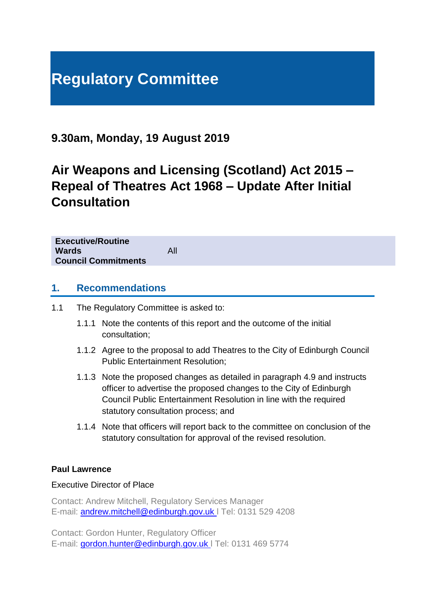# **Regulatory Committee**

# **9.30am, Monday, 19 August 2019**

# **Air Weapons and Licensing (Scotland) Act 2015 – Repeal of Theatres Act 1968 – Update After Initial Consultation**

**Executive/Routine Wards** All **Council Commitments**

## **1. Recommendations**

- 1.1 The Regulatory Committee is asked to:
	- 1.1.1 Note the contents of this report and the outcome of the initial consultation;
	- 1.1.2 Agree to the proposal to add Theatres to the City of Edinburgh Council Public Entertainment Resolution;
	- 1.1.3 Note the proposed changes as detailed in paragraph 4.9 and instructs officer to advertise the proposed changes to the City of Edinburgh Council Public Entertainment Resolution in line with the required statutory consultation process; and
	- 1.1.4 Note that officers will report back to the committee on conclusion of the statutory consultation for approval of the revised resolution.

### **Paul Lawrence**

### Executive Director of Place

Contact: Andrew Mitchell, Regulatory Services Manager E-mail: [andrew.mitchell@edinburgh.gov.uk](mailto:andrew.mitchell@edinburgh.gov.uk) l Tel: 0131 529 4208

Contact: Gordon Hunter, Regulatory Officer E-mail: [gordon.hunter@edinburgh.gov.uk](mailto:gordon.hunter@edinburgh.gov.uk) l Tel: 0131 469 5774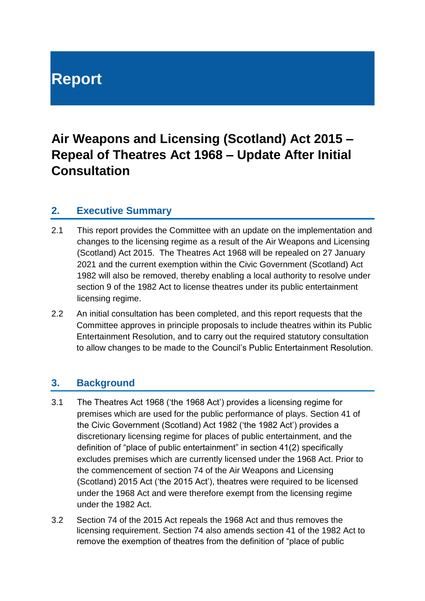# **Report**

# **Air Weapons and Licensing (Scotland) Act 2015 – Repeal of Theatres Act 1968 – Update After Initial Consultation**

## **2. Executive Summary**

- 2.1 This report provides the Committee with an update on the implementation and changes to the licensing regime as a result of the Air Weapons and Licensing (Scotland) Act 2015. The Theatres Act 1968 will be repealed on 27 January 2021 and the current exemption within the Civic Government (Scotland) Act 1982 will also be removed, thereby enabling a local authority to resolve under section 9 of the 1982 Act to license theatres under its public entertainment licensing regime.
- 2.2 An initial consultation has been completed, and this report requests that the Committee approves in principle proposals to include theatres within its Public Entertainment Resolution, and to carry out the required statutory consultation to allow changes to be made to the Council's Public Entertainment Resolution.

## **3. Background**

- 3.1 The Theatres Act 1968 ('the 1968 Act') provides a licensing regime for premises which are used for the public performance of plays. Section 41 of the Civic Government (Scotland) Act 1982 ('the 1982 Act') provides a discretionary licensing regime for places of public entertainment, and the definition of "place of public entertainment" in section 41(2) specifically excludes premises which are currently licensed under the 1968 Act. Prior to the commencement of section 74 of the Air Weapons and Licensing (Scotland) 2015 Act ('the 2015 Act'), theatres were required to be licensed under the 1968 Act and were therefore exempt from the licensing regime under the 1982 Act.
- 3.2 Section 74 of the 2015 Act repeals the 1968 Act and thus removes the licensing requirement. Section 74 also amends section 41 of the 1982 Act to remove the exemption of theatres from the definition of "place of public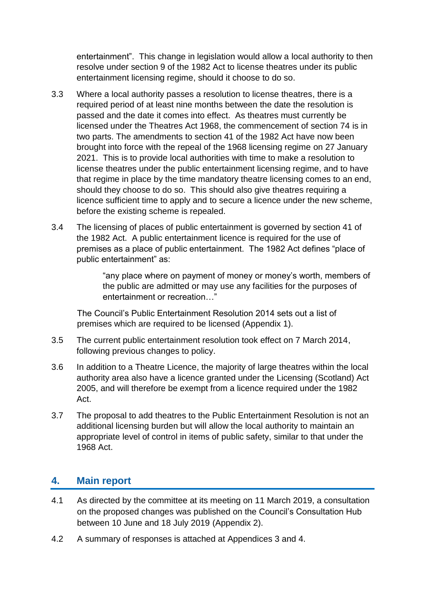entertainment". This change in legislation would allow a local authority to then resolve under section 9 of the 1982 Act to license theatres under its public entertainment licensing regime, should it choose to do so.

- 3.3 Where a local authority passes a resolution to license theatres, there is a required period of at least nine months between the date the resolution is passed and the date it comes into effect. As theatres must currently be licensed under the Theatres Act 1968, the commencement of section 74 is in two parts. The amendments to section 41 of the 1982 Act have now been brought into force with the repeal of the 1968 licensing regime on 27 January 2021. This is to provide local authorities with time to make a resolution to license theatres under the public entertainment licensing regime, and to have that regime in place by the time mandatory theatre licensing comes to an end, should they choose to do so. This should also give theatres requiring a licence sufficient time to apply and to secure a licence under the new scheme, before the existing scheme is repealed.
- 3.4 The licensing of places of public entertainment is governed by section 41 of the 1982 Act. A public entertainment licence is required for the use of premises as a place of public entertainment. The 1982 Act defines "place of public entertainment" as:

"any place where on payment of money or money's worth, members of the public are admitted or may use any facilities for the purposes of entertainment or recreation ...

The Council's Public Entertainment Resolution 2014 sets out a list of premises which are required to be licensed (Appendix 1).

- 3.5 The current public entertainment resolution took effect on 7 March 2014, following previous changes to policy.
- 3.6 In addition to a Theatre Licence, the majority of large theatres within the local authority area also have a licence granted under the Licensing (Scotland) Act 2005, and will therefore be exempt from a licence required under the 1982 Act.
- 3.7 The proposal to add theatres to the Public Entertainment Resolution is not an additional licensing burden but will allow the local authority to maintain an appropriate level of control in items of public safety, similar to that under the 1968 Act.

## **4. Main report**

- 4.1 As directed by the committee at its meeting on 11 March 2019, a consultation on the proposed changes was published on the Council's Consultation Hub between 10 June and 18 July 2019 (Appendix 2).
- 4.2 A summary of responses is attached at Appendices 3 and 4.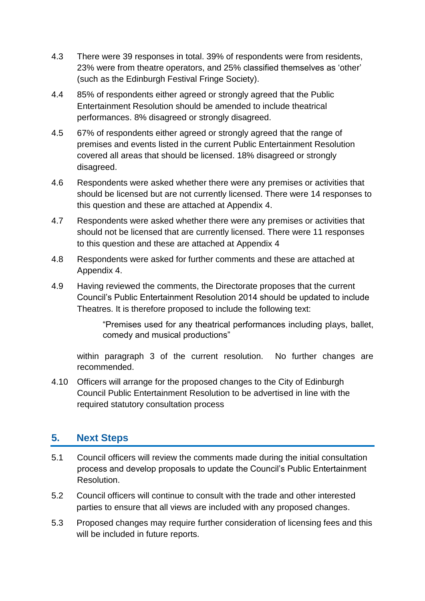- 4.3 There were 39 responses in total. 39% of respondents were from residents, 23% were from theatre operators, and 25% classified themselves as 'other' (such as the Edinburgh Festival Fringe Society).
- 4.4 85% of respondents either agreed or strongly agreed that the Public Entertainment Resolution should be amended to include theatrical performances. 8% disagreed or strongly disagreed.
- 4.5 67% of respondents either agreed or strongly agreed that the range of premises and events listed in the current Public Entertainment Resolution covered all areas that should be licensed. 18% disagreed or strongly disagreed.
- 4.6 Respondents were asked whether there were any premises or activities that should be licensed but are not currently licensed. There were 14 responses to this question and these are attached at Appendix 4.
- 4.7 Respondents were asked whether there were any premises or activities that should not be licensed that are currently licensed. There were 11 responses to this question and these are attached at Appendix 4
- 4.8 Respondents were asked for further comments and these are attached at Appendix 4.
- 4.9 Having reviewed the comments, the Directorate proposes that the current Council's Public Entertainment Resolution 2014 should be updated to include Theatres. It is therefore proposed to include the following text:

"Premises used for any theatrical performances including plays, ballet, comedy and musical productions"

within paragraph 3 of the current resolution. No further changes are recommended.

4.10 Officers will arrange for the proposed changes to the City of Edinburgh Council Public Entertainment Resolution to be advertised in line with the required statutory consultation process

# **5. Next Steps**

- 5.1 Council officers will review the comments made during the initial consultation process and develop proposals to update the Council's Public Entertainment Resolution.
- 5.2 Council officers will continue to consult with the trade and other interested parties to ensure that all views are included with any proposed changes.
- 5.3 Proposed changes may require further consideration of licensing fees and this will be included in future reports.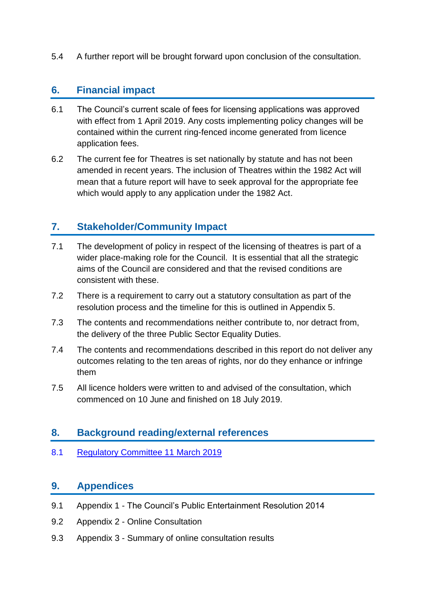5.4 A further report will be brought forward upon conclusion of the consultation.

# **6. Financial impact**

- 6.1 The Council's current scale of fees for licensing applications was approved with effect from 1 April 2019. Any costs implementing policy changes will be contained within the current ring-fenced income generated from licence application fees.
- 6.2 The current fee for Theatres is set nationally by statute and has not been amended in recent years. The inclusion of Theatres within the 1982 Act will mean that a future report will have to seek approval for the appropriate fee which would apply to any application under the 1982 Act.

# **7. Stakeholder/Community Impact**

- 7.1 The development of policy in respect of the licensing of theatres is part of a wider place-making role for the Council. It is essential that all the strategic aims of the Council are considered and that the revised conditions are consistent with these.
- 7.2 There is a requirement to carry out a statutory consultation as part of the resolution process and the timeline for this is outlined in Appendix 5.
- 7.3 The contents and recommendations neither contribute to, nor detract from, the delivery of the three Public Sector Equality Duties.
- 7.4 The contents and recommendations described in this report do not deliver any outcomes relating to the ten areas of rights, nor do they enhance or infringe them
- 7.5 All licence holders were written to and advised of the consultation, which commenced on 10 June and finished on 18 July 2019.

## **8. Background reading/external references**

8.1 [Regulatory Committee 11 March 2019](http://www.edinburgh.gov.uk/download/meetings/id/60238/full_meeting_papers_-_regulatory_committee_-_11_march_2019pdf)

# **9. Appendices**

- 9.1 Appendix 1 The Council's Public Entertainment Resolution 2014
- 9.2 Appendix 2 Online Consultation
- 9.3 Appendix 3 Summary of online consultation results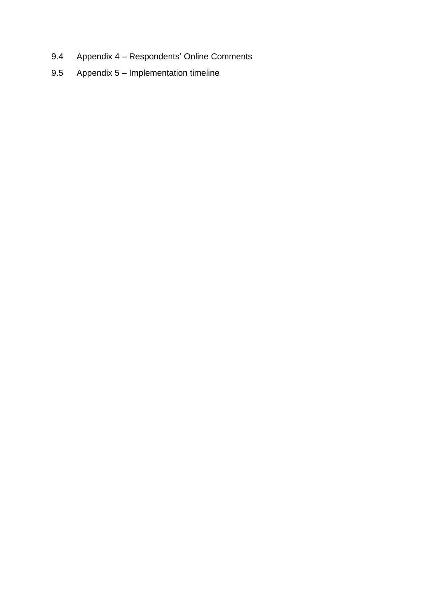- 9.4 Appendix 4 Respondents' Online Comments
- 9.5 Appendix 5 Implementation timeline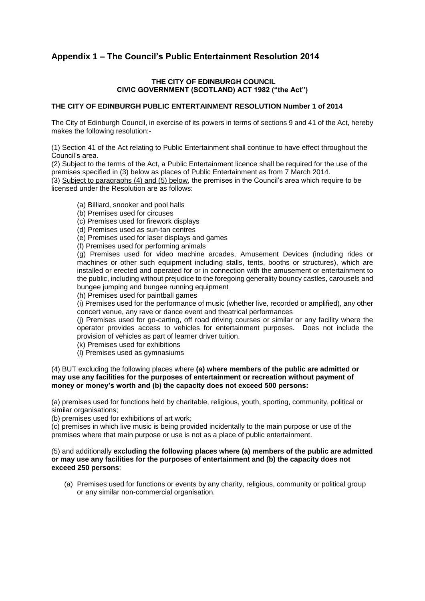### **Appendix 1 – The Council's Public Entertainment Resolution 2014**

### **THE CITY OF EDINBURGH COUNCIL CIVIC GOVERNMENT (SCOTLAND) ACT 1982 ("the Act")**

### **THE CITY OF EDINBURGH PUBLIC ENTERTAINMENT RESOLUTION Number 1 of 2014**

The City of Edinburgh Council, in exercise of its powers in terms of sections 9 and 41 of the Act, hereby makes the following resolution:-

(1) Section 41 of the Act relating to Public Entertainment shall continue to have effect throughout the Council's area.

(2) Subject to the terms of the Act, a Public Entertainment licence shall be required for the use of the premises specified in (3) below as places of Public Entertainment as from 7 March 2014*.* 

(3) Subject to paragraphs (4) and (5) below, the premises in the Council's area which require to be licensed under the Resolution are as follows:

(a) Billiard, snooker and pool halls

(b) Premises used for circuses

(c) Premises used for firework displays

(d) Premises used as sun-tan centres

(e) Premises used for laser displays and games

(f) Premises used for performing animals

(g) Premises used for video machine arcades, Amusement Devices (including rides or machines or other such equipment including stalls, tents, booths or structures), which are installed or erected and operated for or in connection with the amusement or entertainment to the public, including without prejudice to the foregoing generality bouncy castles, carousels and bungee jumping and bungee running equipment

(h) Premises used for paintball games

(i) Premises used for the performance of music (whether live, recorded or amplified), any other concert venue, any rave or dance event and theatrical performances

(j) Premises used for go-carting, off road driving courses or similar or any facility where the operator provides access to vehicles for entertainment purposes. Does not include the provision of vehicles as part of learner driver tuition.

(k) Premises used for exhibitions

(l) Premises used as gymnasiums

#### (4) BUT excluding the following places where **(a) where members of the public are admitted or may use any facilities for the purposes of entertainment or recreation without payment of money or money's worth and (b) the capacity does not exceed 500 persons:**

(a) premises used for functions held by charitable, religious, youth, sporting, community, political or similar organisations;

(b) premises used for exhibitions of art work;

(c) premises in which live music is being provided incidentally to the main purpose or use of the premises where that main purpose or use is not as a place of public entertainment.

#### (5) and additionally **excluding the following places where (a) members of the public are admitted or may use any facilities for the purposes of entertainment and (b) the capacity does not exceed 250 persons**:

(a) Premises used for functions or events by any charity, religious, community or political group or any similar non-commercial organisation.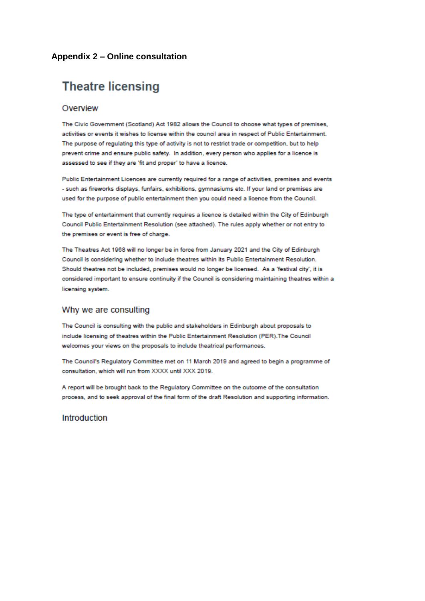### Appendix 2 – Online consultation

# **Theatre licensing**

### Overview

The Civic Government (Scotland) Act 1982 allows the Council to choose what types of premises, activities or events it wishes to license within the council area in respect of Public Entertainment. The purpose of regulating this type of activity is not to restrict trade or competition, but to help prevent crime and ensure public safety. In addition, every person who applies for a licence is assessed to see if they are 'fit and proper' to have a licence.

Public Entertainment Licences are currently required for a range of activities, premises and events - such as fireworks displays, funfairs, exhibitions, gymnasiums etc. If your land or premises are used for the purpose of public entertainment then you could need a licence from the Council.

The type of entertainment that currently requires a licence is detailed within the City of Edinburgh Council Public Entertainment Resolution (see attached). The rules apply whether or not entry to the premises or event is free of charge.

The Theatres Act 1968 will no longer be in force from January 2021 and the City of Edinburgh Council is considering whether to include theatres within its Public Entertainment Resolution. Should theatres not be included, premises would no longer be licensed. As a 'festival city', it is considered important to ensure continuity if the Council is considering maintaining theatres within a licensing system.

### Why we are consulting

The Council is consulting with the public and stakeholders in Edinburgh about proposals to include licensing of theatres within the Public Entertainment Resolution (PER). The Council welcomes your views on the proposals to include theatrical performances.

The Council's Regulatory Committee met on 11 March 2019 and agreed to begin a programme of consultation, which will run from XXXX until XXX 2019.

A report will be brought back to the Regulatory Committee on the outcome of the consultation process, and to seek approval of the final form of the draft Resolution and supporting information.

### Introduction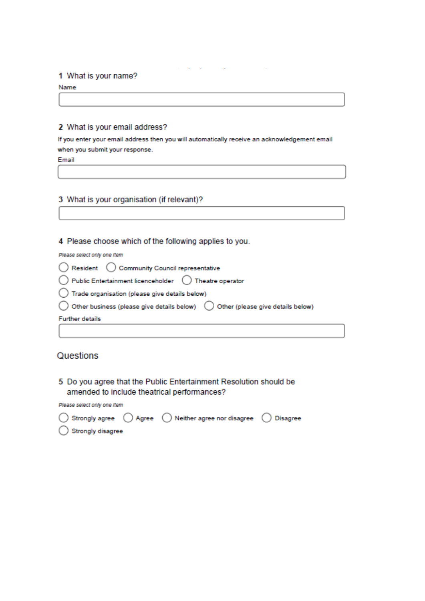### 1 What is your name?

Name

### 2 What is your email address?

If you enter your email address then you will automatically receive an acknowledgement email when you submit your response.

Email

### 3 What is your organisation (if relevant)?

### 4 Please choose which of the following applies to you.

Please select only one Item

| ◯ Resident ( Community Council representative                                                      |  |
|----------------------------------------------------------------------------------------------------|--|
| ◯ Public Entertainment licenceholder ◯ Theatre operator                                            |  |
| ◯ Trade organisation (please give details below)                                                   |  |
| $\bigcirc$ Other business (please give details below) $\bigcirc$ Other (please give details below) |  |
| <b>Further details</b>                                                                             |  |
|                                                                                                    |  |

### Questions

5 Do you agree that the Public Entertainment Resolution should be amended to include theatrical performances?

Please select only one Item

|                              | $\bigcirc$ Strongly agree $\bigcirc$ Agree $\bigcirc$ Neither agree nor disagree $\bigcirc$ Disagree |  |
|------------------------------|------------------------------------------------------------------------------------------------------|--|
| $\bigcirc$ Strongly disagree |                                                                                                      |  |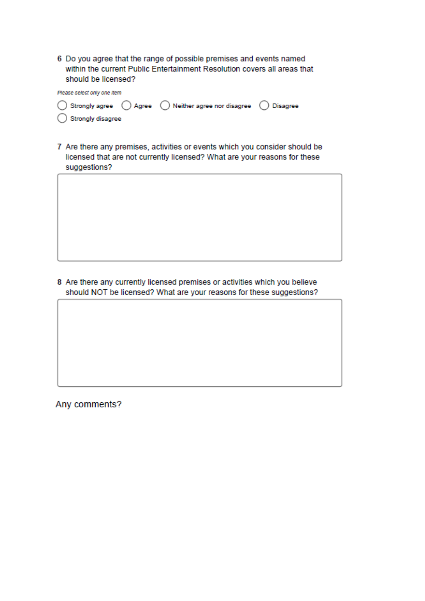6 Do you agree that the range of possible premises and events named within the current Public Entertainment Resolution covers all areas that should be licensed?

| Please select only one Item |  |                                                                                                      |  |  |  |
|-----------------------------|--|------------------------------------------------------------------------------------------------------|--|--|--|
|                             |  | $\bigcirc$ Strongly agree $\bigcirc$ Agree $\bigcirc$ Neither agree nor disagree $\bigcirc$ Disagree |  |  |  |
| Strongly disagree           |  |                                                                                                      |  |  |  |

7 Are there any premises, activities or events which you consider should be licensed that are not currently licensed? What are your reasons for these suggestions?

8 Are there any currently licensed premises or activities which you believe should NOT be licensed? What are your reasons for these suggestions?

Any comments?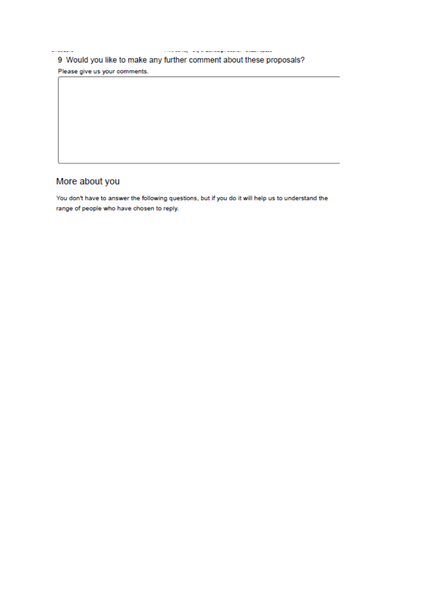$\label{eq:reduced} \begin{aligned} \mathcal{L}_{\text{G}}(\mathbf{u},\mathbf{u}) = \mathcal{L}_{\text{G}}(\mathbf{u},\mathbf{u}) = \mathcal{L}_{\text{G}}(\mathbf{u},\mathbf{u}) = \mathcal{L}_{\text{G}}(\mathbf{u},\mathbf{u}) = \mathcal{L}_{\text{G}}(\mathbf{u},\mathbf{u}) = \mathcal{L}_{\text{G}}(\mathbf{u},\mathbf{u}) = \mathcal{L}_{\text{G}}(\mathbf{u},\mathbf{u}) = \mathcal{L}_{\text{G}}(\mathbf{u},\mathbf{u}) = \mathcal{L}_{\text{G}}(\mathbf{$  $\overline{a}$ 

9 Would you like to make any further comment about these proposals? Please give us your comments.

# More about you

You don't have to answer the following questions, but if you do it will help us to understand the range of people who have chosen to reply.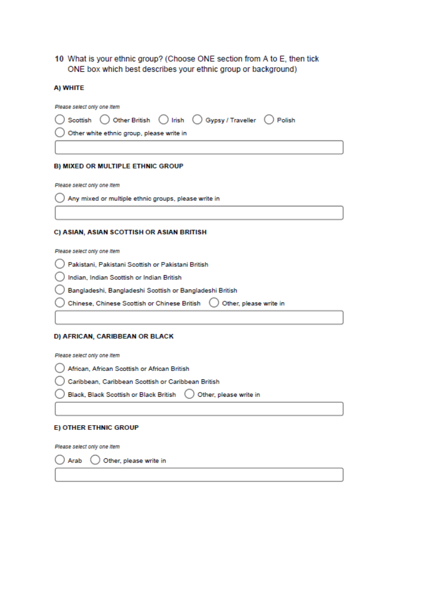### 10 What is your ethnic group? (Choose ONE section from A to E, then tick ONE box which best describes your ethnic group or background)

#### A) WHITE

| Please select only one Item |                                           |                                                                 |  |
|-----------------------------|-------------------------------------------|-----------------------------------------------------------------|--|
|                             |                                           | ◯ Scottish ◯ Other British ◯ Irish ◯ Gypsy / Traveller ◯ Polish |  |
|                             | Other white ethnic group, please write in |                                                                 |  |
|                             |                                           |                                                                 |  |

#### **B) MIXED OR MULTIPLE ETHNIC GROUP**

Please select only one Item

) Any mixed or multiple ethnic groups, please write in

#### C) ASIAN, ASIAN SCOTTISH OR ASIAN BRITISH

Please select only one Item

|  | ) Pakistani, Pakistani Scottish or Pakistani British |  |  |  |  |  |
|--|------------------------------------------------------|--|--|--|--|--|
|--|------------------------------------------------------|--|--|--|--|--|

) Indian, Indian Scottish or Indian British

◯ Bangladeshi, Bangladeshi Scottish or Bangladeshi British

 $\big)$  Chinese, Chinese Scottish or Chinese British  $\bigcirc$  Other, please write in

#### D) AFRICAN, CARIBBEAN OR BLACK

Please select only one Item

- African, African Scottish or African British
- Caribbean, Caribbean Scottish or Caribbean British
- Black, Black Scottish or Black British ( Other, please write in

#### E) OTHER ETHNIC GROUP

Please select only one Item

) Arab ( ) Other, please write in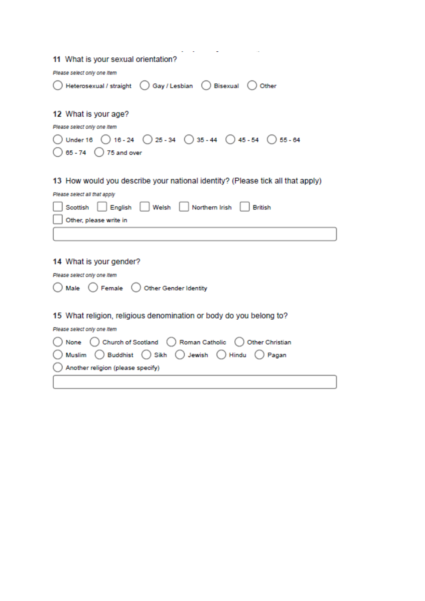| 11 What is your sexual orientation?                                                                                                                     |
|---------------------------------------------------------------------------------------------------------------------------------------------------------|
| Please select only one Item                                                                                                                             |
| Heterosexual / straight ( ) Gay / Lesbian ( ) Bisexual ( ) Other                                                                                        |
| 12 What is your age?<br>Please select only one Item<br>O Under 16 ( 0 16 - 24 ( 0 25 - 34 ( 0 35 - 44 ( 0 45 - 54 ( 0 55 - 64<br>65 - 74 () 75 and over |
| 13 How would you describe your national identity? (Please tick all that apply)                                                                          |
| Please select all that apply                                                                                                                            |
| English   Welsh<br>Northern Irish<br>Scottish<br><b>British</b>                                                                                         |
| Other, please write in                                                                                                                                  |
|                                                                                                                                                         |
|                                                                                                                                                         |
| 14 What is your gender?                                                                                                                                 |
| Please select only one Item                                                                                                                             |
| ) Other Gender Identity<br>) Female (<br>Male                                                                                                           |
| 15 What religion, religious denomination or body do you belong to?                                                                                      |
| Please select only one Item                                                                                                                             |
| None () Church of Scotland () Roman Catholic () Other Christian                                                                                         |
| Muslim ( ) Buddhist ( ) Sikh ( ) Jewish ( ) Hindu<br>) Pagan                                                                                            |
| Another religion (please specify)                                                                                                                       |
|                                                                                                                                                         |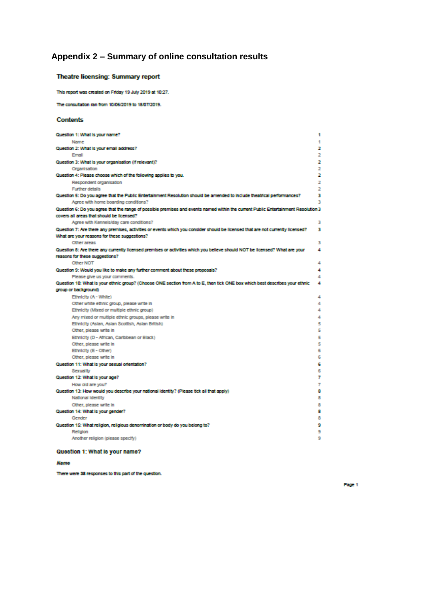# Appendix 2 - Summary of online consultation results

### Theatre licensing: Summary report

This report was created on Friday 19 July 2019 at 10:27.

The consultation ran from 10/06/2019 to 18/07/2019.

#### **Contents**

| Question 1: What is your name?                                                                                                     | 1 |
|------------------------------------------------------------------------------------------------------------------------------------|---|
| Name                                                                                                                               | 1 |
| Question 2: What is your email address?                                                                                            | 2 |
| Email                                                                                                                              | 2 |
| Question 3: What is your organisation (if relevant)?                                                                               | 2 |
| Organisation                                                                                                                       | 2 |
| Question 4: Please choose which of the following applies to you.                                                                   | 2 |
| Respondent organisation                                                                                                            | 2 |
| <b>Further details</b>                                                                                                             | 2 |
| Question 5: Do you agree that the Public Entertainment Resolution should be amended to include theatrical performances?            | з |
| Agree with home boarding conditions?                                                                                               | з |
| Question 6: Do you agree that the range of possible premises and events named within the current Public Entertainment Resolution 3 |   |
| covers all areas that should be licensed?                                                                                          |   |
| Agree with Kennels/day care conditions?                                                                                            | з |
| Question 7: Are there any premises, activities or events which you consider should be licensed that are not currently licensed?    | з |
| What are your reasons for these suggestions?                                                                                       |   |
| Other areas                                                                                                                        | з |
| Question 8: Are there any currently licensed premises or activities which you believe should NOT be licensed? What are your        | 4 |
| reasons for these suppestions?                                                                                                     |   |
| Other NOT                                                                                                                          | 4 |
| Question 9: Would you like to make any further comment about these proposals?                                                      | 4 |
| Please give us your comments.                                                                                                      | 4 |
| Question 10: What is your ethnic group? (Choose ONE section from A to E, then tick ONE box which best describes your ethnic        | 4 |
| group or background)                                                                                                               |   |
| Ethnicity (A - White)                                                                                                              | 4 |
| Other white ethnic group, please write in                                                                                          | 4 |
| Ethnicity (Mixed or multiple ethnic group)                                                                                         | 4 |
| Any mixed or multiple ethnic groups, please write in                                                                               | 4 |
| Ethnicity (Asian, Asian Scottish, Asian British)                                                                                   | 5 |
| Other, please write in                                                                                                             | 5 |
| Ethnicity (D - African, Caribbean or Black)                                                                                        | 5 |
| Other, please write in                                                                                                             | 5 |
| Ethnicity (E - Other)                                                                                                              | 6 |
| Other, please write in                                                                                                             | 6 |
| Question 11: What is your sexual orientation?                                                                                      | 6 |
| Sexuality                                                                                                                          | 6 |
| Question 12: What is your age?                                                                                                     | 7 |
| How old are you?                                                                                                                   | 7 |
| Question 13: How would you describe your national identity? (Please tick all that apply)                                           | 8 |
| National Identity                                                                                                                  | 8 |
| Other, please write in                                                                                                             | 8 |
| Question 14: What is your gender?                                                                                                  | 8 |
| Gender                                                                                                                             | 8 |
| Question 15: What religion, religious denomination or body do you belong to?                                                       | 9 |
| Religion                                                                                                                           | 9 |
| Another religion (please specify)                                                                                                  | 9 |
|                                                                                                                                    |   |

### Question 1: What is your name?

Name

There were 38 responses to this part of the question.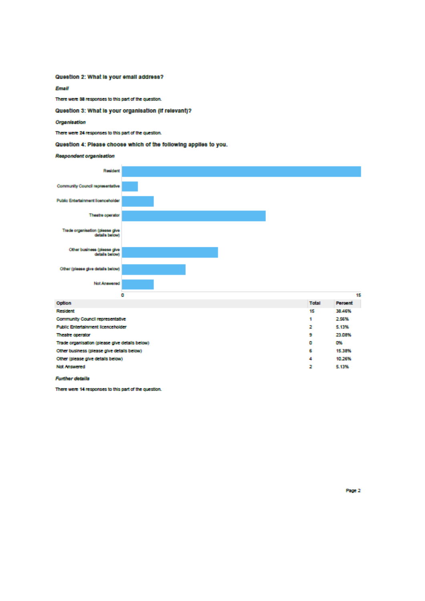#### Question 2: What is your email address?

**Email** 

There were 38 responses to this part of the question.

Question 3: What is your organisation (if relevant)?

Organisation

There were 24 responses to this part of the question.

Question 4: Please choose which of the following applies to you.

#### Respondent organisation



| Resident                                       | 15 | 38.46% |
|------------------------------------------------|----|--------|
| Community Council representative               |    | 2.56%  |
| <b>Public Entertainment licenceholder</b>      | 2  | 5.13%  |
| Theatre operator                               | 9  | 23.08% |
| Trade organisation (please give details below) | ٥  | O%     |
| Other business (please give details below)     | 6  | 15.38% |
| Other (please give details below)              | 4  | 10.26% |
| <b>Not Answered</b>                            | 2  | 5.13%  |
|                                                |    |        |

**Further details** 

There were 14 responses to this part of the question.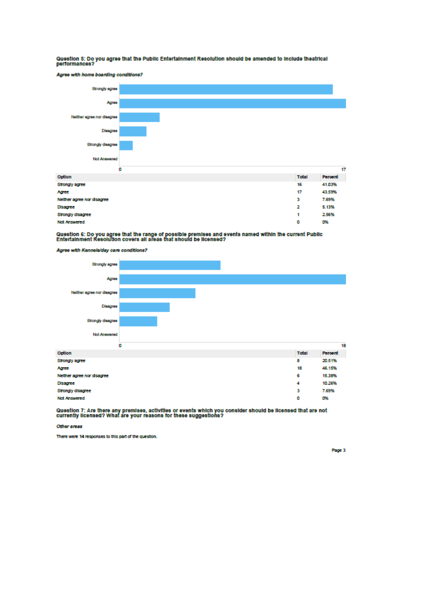# Question 5: Do you agree that the Public Entertainment Resolution should be amended to include theatrical<br>performances?





# Question 6: Do you agree that the range of possible premises and events named within the current Public<br>Entertainment Resolution covers all areas that should be licensed?

Agree with Kennels/day care conditions?



Question 7: Are there any premises, activities or events which you consider should be licensed that are not<br>currently licensed? What are your reasons for these suggestions?

Other areas

There were 14 responses to this part of the question.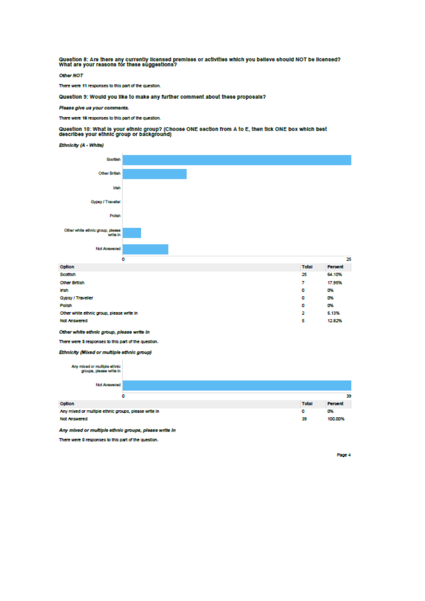Question 8: Are there any currently licensed premises or activities which you believe should NOT be licensed?<br>What are your reasons for these suggestions?

Other NOT

There were 11 responses to this part of the question.

Question 9: Would you like to make any further comment about these proposals?

Please give us your comments.

There were 18 responses to this part of the question.

Question 10: What is your ethnic group? (Choose ONE section from A to E, then tick ONE box which best<br>describes your ethnic group or background)





| Option                                    | Total | Percent |
|-------------------------------------------|-------|---------|
| Scottish                                  | 25    | 64.10%  |
| <b>Other British</b>                      | 7     | 17.95%  |
| irish                                     | ۰     | D%      |
| Gypsy / Traveller                         | ۰     | 0%      |
| Polsh                                     | ۰     | D%      |
| Other white ethnic group, please write in | 2     | 5.13%   |
| <b>Not Answered</b>                       | 5     | 12.82%  |

Other white ethnic group, please write in

There were 3 responses to this part of the question.

Ethnicity (Mixed or multiple ethnic group)

| Any mixed or multiple ethnic<br>groups, piesse wite in |   |       |         |
|--------------------------------------------------------|---|-------|---------|
| Not Answered                                           |   |       |         |
|                                                        | ٥ |       | 39      |
| Option                                                 |   | Total | Percent |
| Any mixed or multiple ethnic groups, please write in   |   | ٥     | D%      |
| <b>Not Answered</b>                                    |   | 39    | 100.00% |

Any mixed or multiple ethnic groups, please write in

There were 0 responses to this part of the question.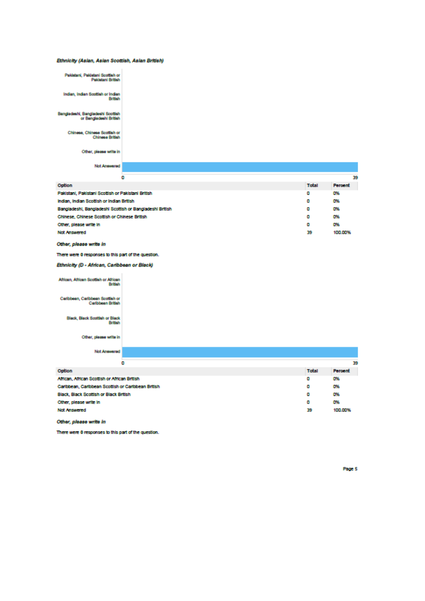#### Ethnicity (Asian, Asian Scottish, Asian British)

| Pakistani, Pakistani Scottish or<br>Pekistani British       |  |
|-------------------------------------------------------------|--|
| Indian, Indian Scottish or Indian<br><b>British</b>         |  |
| Bangladeshi, Bangladeshi Scottish<br>or Bangladeshi British |  |
| Chinese, Chinese Scottish of<br>Chinese British             |  |
| Other, please wite in                                       |  |
| Not Answered                                                |  |

| ٥                                                        |  |       | 39      |
|----------------------------------------------------------|--|-------|---------|
| Option                                                   |  | Total | Percent |
| Pakistani, Pakistani Scottish or Pakistani British       |  | ۰     | D%      |
| Indian, Indian Scottish or Indian British                |  | ۰     | D%      |
| Bangladeshi, Bangladeshi Scottish or Bangladeshi British |  | ٥     | D%      |
| Chinese, Chinese Scottish or Chinese British             |  | ٥     | D%      |
| Other, please write in                                   |  | ۰     | D%      |
| <b>Not Answered</b>                                      |  | 39    | 100,00% |

Other, please write in

There were 0 responses to this part of the question.

Ethnicity (D - African, Caribbean or Black)

African, African Scottish or African<br>British Caribbean, Caribbean Scottish or<br>Caribbean British

Black, Black Scottish or Black<br>British

Other, piecee witte in

Not Answered

|                                                    | ٥ |       | 39      |
|----------------------------------------------------|---|-------|---------|
| Option                                             |   | Total | Percent |
| African, African Scottish or African British       |   | ٥     | D%      |
| Caribbean, Caribbean Scottish or Caribbean British |   | ٥     | D%      |
| Black, Black Scottish or Black British             |   | ٥     | D%      |
| Other, please write in                             |   | ٥     | D%      |
| <b>Not Answered</b>                                |   | 39    | 100.00% |
|                                                    |   |       |         |

Other, please write in

There were 0 responses to this part of the question.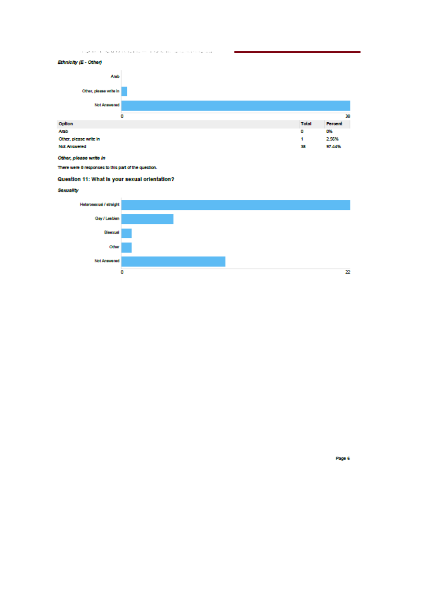THE RUN IN REPORTED HE TO FRONT OUR



There were 0 responses to this part of the question.

### Question 11: What is your sexual orientation?

Sexuality

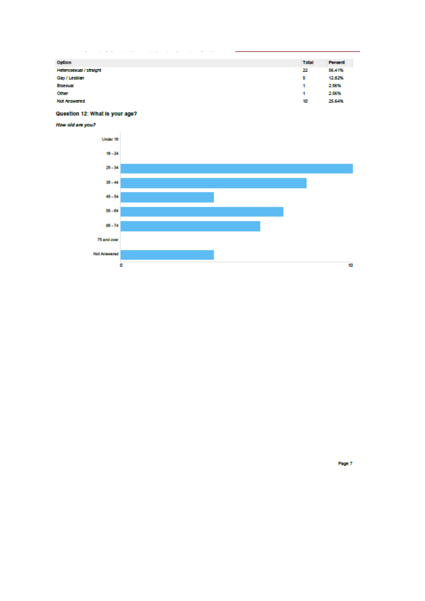| Option                  | Total | Percent |
|-------------------------|-------|---------|
| Heterosexual / straight | 22    | 56,41%  |
| Gay / Lesbian           | 5     | 12.82%  |
| <b>Blsexual</b>         |       | 2.56%   |
| Other                   |       | 2.56%   |
| <b>Not Answered</b>     | 10    | 25.64%  |
|                         |       |         |

### Question 12: What is your age?

How old are you?

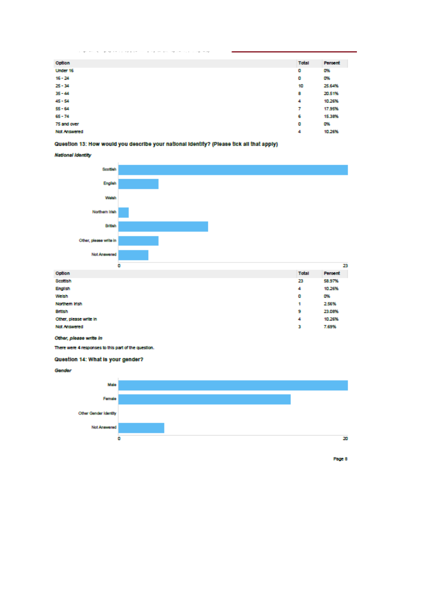| <b>Total</b><br>Option<br>Percent<br>D%<br>Under 16<br>٥<br>$16 - 24$<br>٥<br>0%<br>$25 - 34$<br>25.64%<br>10<br>$35 - 44$<br>8<br>20.51%<br>$45 - 54$<br>10.26%<br>4<br>$55 - 64$<br>17.95%<br>7<br>$65 - 74$<br>6<br>15.38%<br>٥<br>0%<br>75 and over<br>10.26%<br>4<br><b>Not Answered</b> |  |  |
|-----------------------------------------------------------------------------------------------------------------------------------------------------------------------------------------------------------------------------------------------------------------------------------------------|--|--|
|                                                                                                                                                                                                                                                                                               |  |  |
|                                                                                                                                                                                                                                                                                               |  |  |
|                                                                                                                                                                                                                                                                                               |  |  |
|                                                                                                                                                                                                                                                                                               |  |  |
|                                                                                                                                                                                                                                                                                               |  |  |
|                                                                                                                                                                                                                                                                                               |  |  |
|                                                                                                                                                                                                                                                                                               |  |  |
|                                                                                                                                                                                                                                                                                               |  |  |
|                                                                                                                                                                                                                                                                                               |  |  |
|                                                                                                                                                                                                                                                                                               |  |  |

i.

### Question 13: How would you describe your national identity? (Please tick all that apply)

**Contract Contract** 

 $\label{eq:1.1} \begin{split} \mathbf{y} & \in \mathcal{H}^1(\mathbb{R}^d) \times \mathbb{R}^d \times \mathbb{R}^d \times \mathbb{R}^d \times \mathbb{R}^d \times \mathbb{R}^d \times \mathbb{R}^d \times \mathbb{R}^d \times \mathbb{R}^d \times \mathbb{R}^d \times \mathbb{R}^d \times \mathbb{R}^d \times \mathbb{R}^d \times \mathbb{R}^d \times \mathbb{R}^d \times \mathbb{R}^d \times \mathbb{R}^d \times \mathbb{R}^d \times \mathbb{R}^d$ 

**National Identity** 



| Weish                  | ۰ | <b>DY</b> |
|------------------------|---|-----------|
| Northern Irish         |   | 2.56%     |
| <b>British</b>         | 9 | 23.08%    |
| Other, please write in | 4 | 10.26%    |
| <b>Not Answered</b>    | з | 7.69%     |
|                        |   |           |

Other, please write in

There were 4 responses to this part of the question.

### Question 14: What is your gender?

Gender

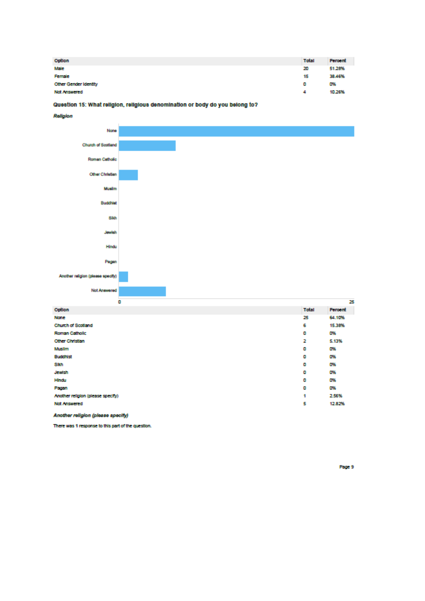| Option                     | Total | Percent |
|----------------------------|-------|---------|
| Male                       | 20    | 51.28%  |
| Female                     | 15    | 38.46%  |
| Other Gender Identity<br>٥ |       | 0%      |
| <b>Not Answered</b>        | 4     | 10.26%  |

#### Question 15: What religion, religious denomination or body do you belong to?



There was 1 response to this part of the question.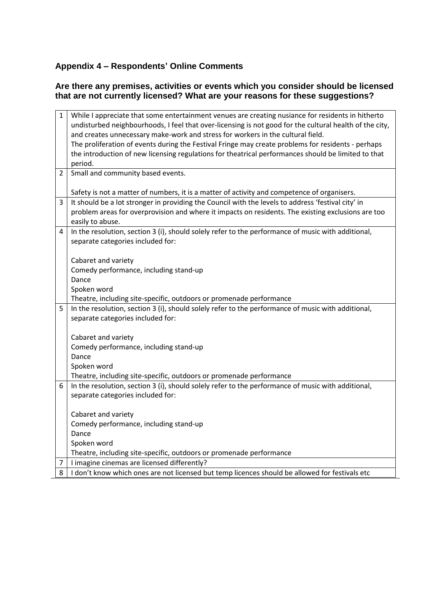## **Appendix 4 – Respondents' Online Comments**

### **Are there any premises, activities or events which you consider should be licensed that are not currently licensed? What are your reasons for these suggestions?**

| 1 | While I appreciate that some entertainment venues are creating nusiance for residents in hitherto       |
|---|---------------------------------------------------------------------------------------------------------|
|   | undisturbed neighbourhoods, I feel that over-licensing is not good for the cultural health of the city, |
|   | and creates unnecessary make-work and stress for workers in the cultural field.                         |
|   | The proliferation of events during the Festival Fringe may create problems for residents - perhaps      |
|   | the introduction of new licensing regulations for theatrical performances should be limited to that     |
|   | period.                                                                                                 |
| 2 | Small and community based events.                                                                       |
|   |                                                                                                         |
|   | Safety is not a matter of numbers, it is a matter of activity and competence of organisers.             |
| 3 | It should be a lot stronger in providing the Council with the levels to address 'festival city' in      |
|   | problem areas for overprovision and where it impacts on residents. The existing exclusions are too      |
|   | easily to abuse.                                                                                        |
| 4 | In the resolution, section 3 (i), should solely refer to the performance of music with additional,      |
|   | separate categories included for:                                                                       |
|   | Cabaret and variety                                                                                     |
|   | Comedy performance, including stand-up                                                                  |
|   | Dance                                                                                                   |
|   | Spoken word                                                                                             |
|   | Theatre, including site-specific, outdoors or promenade performance                                     |
| 5 | In the resolution, section 3 (i), should solely refer to the performance of music with additional,      |
|   | separate categories included for:                                                                       |
|   |                                                                                                         |
|   | Cabaret and variety                                                                                     |
|   | Comedy performance, including stand-up                                                                  |
|   | Dance                                                                                                   |
|   | Spoken word                                                                                             |
|   | Theatre, including site-specific, outdoors or promenade performance                                     |
| 6 | In the resolution, section 3 (i), should solely refer to the performance of music with additional,      |
|   | separate categories included for:                                                                       |
|   |                                                                                                         |
|   | Cabaret and variety                                                                                     |
|   | Comedy performance, including stand-up                                                                  |
|   | Dance                                                                                                   |
|   | Spoken word                                                                                             |
|   | Theatre, including site-specific, outdoors or promenade performance                                     |
| 7 | I imagine cinemas are licensed differently?                                                             |
| 8 | I don't know which ones are not licensed but temp licences should be allowed for festivals etc          |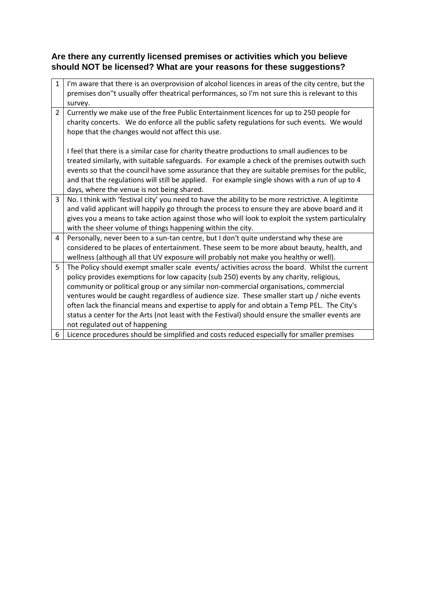### **Are there any currently licensed premises or activities which you believe should NOT be licensed? What are your reasons for these suggestions?**

| $\mathbf{1}$ | I'm aware that there is an overprovision of alcohol licences in areas of the city centre, but the<br>premises don"t usually offer theatrical performances, so I'm not sure this is relevant to this<br>survey. |
|--------------|----------------------------------------------------------------------------------------------------------------------------------------------------------------------------------------------------------------|
| 2            | Currently we make use of the free Public Entertainment licences for up to 250 people for                                                                                                                       |
|              | charity concerts. We do enforce all the public safety regulations for such events. We would                                                                                                                    |
|              | hope that the changes would not affect this use.                                                                                                                                                               |
|              |                                                                                                                                                                                                                |
|              | I feel that there is a similar case for charity theatre productions to small audiences to be                                                                                                                   |
|              | treated similarly, with suitable safeguards. For example a check of the premises outwith such                                                                                                                  |
|              | events so that the council have some assurance that they are suitable premises for the public,                                                                                                                 |
|              | and that the regulations will still be applied. For example single shows with a run of up to 4                                                                                                                 |
|              | days, where the venue is not being shared.                                                                                                                                                                     |
| 3            | No. I think with 'festival city' you need to have the ability to be more restrictive. A legitimte                                                                                                              |
|              | and valid applicant will happily go through the process to ensure they are above board and it                                                                                                                  |
|              | gives you a means to take action against those who will look to exploit the system particulalry                                                                                                                |
|              | with the sheer volume of things happening within the city.                                                                                                                                                     |
| 4            | Personally, never been to a sun-tan centre, but I don't quite understand why these are                                                                                                                         |
|              | considered to be places of entertainment. These seem to be more about beauty, health, and                                                                                                                      |
|              | wellness (although all that UV exposure will probably not make you healthy or well).                                                                                                                           |
| 5            | The Policy should exempt smaller scale events/ activities across the board. Whilst the current                                                                                                                 |
|              | policy provides exemptions for low capacity (sub 250) events by any charity, religious,                                                                                                                        |
|              | community or political group or any similar non-commercial organisations, commercial                                                                                                                           |
|              | ventures would be caught regardless of audience size. These smaller start up / niche events                                                                                                                    |
|              | often lack the financial means and expertise to apply for and obtain a Temp PEL. The City's                                                                                                                    |
|              | status a center for the Arts (not least with the Festival) should ensure the smaller events are                                                                                                                |
|              | not regulated out of happening                                                                                                                                                                                 |
| 6            | Licence procedures should be simplified and costs reduced especially for smaller premises                                                                                                                      |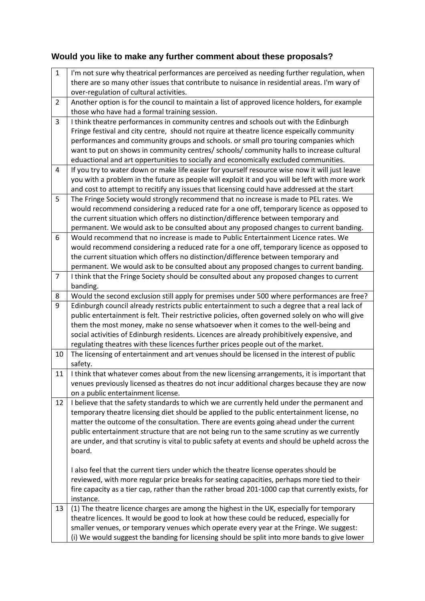# **Would you like to make any further comment about these proposals?**

| $\mathbf{1}$<br>I'm not sure why theatrical performances are perceived as needing further regulation, when<br>there are so many other issues that contribute to nuisance in residential areas. I'm wary of<br>over-regulation of cultural activities.<br>Another option is for the council to maintain a list of approved licence holders, for example<br>$\overline{2}$<br>those who have had a formal training session.<br>3<br>I think theatre performances in community centres and schools out with the Edinburgh<br>Fringe festival and city centre, should not rquire at theatre licence espeically community<br>performances and community groups and schools. or small pro touring companies which<br>want to put on shows in community centres/ schools/ community halls to increase cultural<br>eduactional and art oppertunities to socially and economically excluded communities.<br>If you try to water down or make life easier for yourself resource wise now it will just leave<br>4<br>you with a problem in the future as people will exploit it and you will be left with more work<br>and cost to attempt to recitify any issues that licensing could have addressed at the start<br>The Fringe Society would strongly recommend that no increase is made to PEL rates. We<br>5<br>would recommend considering a reduced rate for a one off, temporary licence as opposed to<br>the current situation which offers no distinction/difference between temporary and<br>permanent. We would ask to be consulted about any proposed changes to current banding.<br>Would recommend that no increase is made to Public Entertainment Licence rates. We<br>6<br>would recommend considering a reduced rate for a one off, temporary licence as opposed to<br>the current situation which offers no distinction/difference between temporary and<br>permanent. We would ask to be consulted about any proposed changes to current banding.<br>$\overline{7}$<br>I think that the Fringe Society should be consulted about any proposed changes to current<br>banding.<br>Would the second exclusion still apply for premises under 500 where performances are free?<br>8<br>9<br>Edinburgh council already restricts public entertainment to such a degree that a real lack of<br>public entertainment is felt. Their restrictive policies, often governed solely on who will give<br>them the most money, make no sense whatsoever when it comes to the well-being and<br>social activities of Edinburgh residents. Licences are already prohibitively expensive, and<br>regulating theatres with these licences further prices people out of the market.<br>The licensing of entertainment and art venues should be licensed in the interest of public<br>10<br>safety.<br>I think that whatever comes about from the new licensing arrangements, it is important that<br>11<br>venues previously licensed as theatres do not incur additional charges because they are now<br>on a public entertainment license.<br>I believe that the safety standards to which we are currently held under the permanent and<br>12<br>temporary theatre licensing diet should be applied to the public entertainment license, no<br>matter the outcome of the consultation. There are events going ahead under the current<br>public entertainment structure that are not being run to the same scrutiny as we currently<br>are under, and that scrutiny is vital to public safety at events and should be upheld across the<br>board.<br>I also feel that the current tiers under which the theatre license operates should be<br>reviewed, with more regular price breaks for seating capacities, perhaps more tied to their<br>fire capacity as a tier cap, rather than the rather broad 201-1000 cap that currently exists, for<br>instance. |  |
|-------------------------------------------------------------------------------------------------------------------------------------------------------------------------------------------------------------------------------------------------------------------------------------------------------------------------------------------------------------------------------------------------------------------------------------------------------------------------------------------------------------------------------------------------------------------------------------------------------------------------------------------------------------------------------------------------------------------------------------------------------------------------------------------------------------------------------------------------------------------------------------------------------------------------------------------------------------------------------------------------------------------------------------------------------------------------------------------------------------------------------------------------------------------------------------------------------------------------------------------------------------------------------------------------------------------------------------------------------------------------------------------------------------------------------------------------------------------------------------------------------------------------------------------------------------------------------------------------------------------------------------------------------------------------------------------------------------------------------------------------------------------------------------------------------------------------------------------------------------------------------------------------------------------------------------------------------------------------------------------------------------------------------------------------------------------------------------------------------------------------------------------------------------------------------------------------------------------------------------------------------------------------------------------------------------------------------------------------------------------------------------------------------------------------------------------------------------------------------------------------------------------------------------------------------------------------------------------------------------------------------------------------------------------------------------------------------------------------------------------------------------------------------------------------------------------------------------------------------------------------------------------------------------------------------------------------------------------------------------------------------------------------------------------------------------------------------------------------------------------------------------------------------------------------------------------------------------------------------------------------------------------------------------------------------------------------------------------------------------------------------------------------------------------------------------------------------------------------------------------------------------------------------------------------------------------------------------------------------------------------------------------------------------------------------------------------------------------------------------------------------------------------------------------------------------------------------------------------------|--|
|                                                                                                                                                                                                                                                                                                                                                                                                                                                                                                                                                                                                                                                                                                                                                                                                                                                                                                                                                                                                                                                                                                                                                                                                                                                                                                                                                                                                                                                                                                                                                                                                                                                                                                                                                                                                                                                                                                                                                                                                                                                                                                                                                                                                                                                                                                                                                                                                                                                                                                                                                                                                                                                                                                                                                                                                                                                                                                                                                                                                                                                                                                                                                                                                                                                                                                                                                                                                                                                                                                                                                                                                                                                                                                                                                                                                                                                       |  |
|                                                                                                                                                                                                                                                                                                                                                                                                                                                                                                                                                                                                                                                                                                                                                                                                                                                                                                                                                                                                                                                                                                                                                                                                                                                                                                                                                                                                                                                                                                                                                                                                                                                                                                                                                                                                                                                                                                                                                                                                                                                                                                                                                                                                                                                                                                                                                                                                                                                                                                                                                                                                                                                                                                                                                                                                                                                                                                                                                                                                                                                                                                                                                                                                                                                                                                                                                                                                                                                                                                                                                                                                                                                                                                                                                                                                                                                       |  |
|                                                                                                                                                                                                                                                                                                                                                                                                                                                                                                                                                                                                                                                                                                                                                                                                                                                                                                                                                                                                                                                                                                                                                                                                                                                                                                                                                                                                                                                                                                                                                                                                                                                                                                                                                                                                                                                                                                                                                                                                                                                                                                                                                                                                                                                                                                                                                                                                                                                                                                                                                                                                                                                                                                                                                                                                                                                                                                                                                                                                                                                                                                                                                                                                                                                                                                                                                                                                                                                                                                                                                                                                                                                                                                                                                                                                                                                       |  |
|                                                                                                                                                                                                                                                                                                                                                                                                                                                                                                                                                                                                                                                                                                                                                                                                                                                                                                                                                                                                                                                                                                                                                                                                                                                                                                                                                                                                                                                                                                                                                                                                                                                                                                                                                                                                                                                                                                                                                                                                                                                                                                                                                                                                                                                                                                                                                                                                                                                                                                                                                                                                                                                                                                                                                                                                                                                                                                                                                                                                                                                                                                                                                                                                                                                                                                                                                                                                                                                                                                                                                                                                                                                                                                                                                                                                                                                       |  |
|                                                                                                                                                                                                                                                                                                                                                                                                                                                                                                                                                                                                                                                                                                                                                                                                                                                                                                                                                                                                                                                                                                                                                                                                                                                                                                                                                                                                                                                                                                                                                                                                                                                                                                                                                                                                                                                                                                                                                                                                                                                                                                                                                                                                                                                                                                                                                                                                                                                                                                                                                                                                                                                                                                                                                                                                                                                                                                                                                                                                                                                                                                                                                                                                                                                                                                                                                                                                                                                                                                                                                                                                                                                                                                                                                                                                                                                       |  |
|                                                                                                                                                                                                                                                                                                                                                                                                                                                                                                                                                                                                                                                                                                                                                                                                                                                                                                                                                                                                                                                                                                                                                                                                                                                                                                                                                                                                                                                                                                                                                                                                                                                                                                                                                                                                                                                                                                                                                                                                                                                                                                                                                                                                                                                                                                                                                                                                                                                                                                                                                                                                                                                                                                                                                                                                                                                                                                                                                                                                                                                                                                                                                                                                                                                                                                                                                                                                                                                                                                                                                                                                                                                                                                                                                                                                                                                       |  |
|                                                                                                                                                                                                                                                                                                                                                                                                                                                                                                                                                                                                                                                                                                                                                                                                                                                                                                                                                                                                                                                                                                                                                                                                                                                                                                                                                                                                                                                                                                                                                                                                                                                                                                                                                                                                                                                                                                                                                                                                                                                                                                                                                                                                                                                                                                                                                                                                                                                                                                                                                                                                                                                                                                                                                                                                                                                                                                                                                                                                                                                                                                                                                                                                                                                                                                                                                                                                                                                                                                                                                                                                                                                                                                                                                                                                                                                       |  |
|                                                                                                                                                                                                                                                                                                                                                                                                                                                                                                                                                                                                                                                                                                                                                                                                                                                                                                                                                                                                                                                                                                                                                                                                                                                                                                                                                                                                                                                                                                                                                                                                                                                                                                                                                                                                                                                                                                                                                                                                                                                                                                                                                                                                                                                                                                                                                                                                                                                                                                                                                                                                                                                                                                                                                                                                                                                                                                                                                                                                                                                                                                                                                                                                                                                                                                                                                                                                                                                                                                                                                                                                                                                                                                                                                                                                                                                       |  |
|                                                                                                                                                                                                                                                                                                                                                                                                                                                                                                                                                                                                                                                                                                                                                                                                                                                                                                                                                                                                                                                                                                                                                                                                                                                                                                                                                                                                                                                                                                                                                                                                                                                                                                                                                                                                                                                                                                                                                                                                                                                                                                                                                                                                                                                                                                                                                                                                                                                                                                                                                                                                                                                                                                                                                                                                                                                                                                                                                                                                                                                                                                                                                                                                                                                                                                                                                                                                                                                                                                                                                                                                                                                                                                                                                                                                                                                       |  |
|                                                                                                                                                                                                                                                                                                                                                                                                                                                                                                                                                                                                                                                                                                                                                                                                                                                                                                                                                                                                                                                                                                                                                                                                                                                                                                                                                                                                                                                                                                                                                                                                                                                                                                                                                                                                                                                                                                                                                                                                                                                                                                                                                                                                                                                                                                                                                                                                                                                                                                                                                                                                                                                                                                                                                                                                                                                                                                                                                                                                                                                                                                                                                                                                                                                                                                                                                                                                                                                                                                                                                                                                                                                                                                                                                                                                                                                       |  |
|                                                                                                                                                                                                                                                                                                                                                                                                                                                                                                                                                                                                                                                                                                                                                                                                                                                                                                                                                                                                                                                                                                                                                                                                                                                                                                                                                                                                                                                                                                                                                                                                                                                                                                                                                                                                                                                                                                                                                                                                                                                                                                                                                                                                                                                                                                                                                                                                                                                                                                                                                                                                                                                                                                                                                                                                                                                                                                                                                                                                                                                                                                                                                                                                                                                                                                                                                                                                                                                                                                                                                                                                                                                                                                                                                                                                                                                       |  |
|                                                                                                                                                                                                                                                                                                                                                                                                                                                                                                                                                                                                                                                                                                                                                                                                                                                                                                                                                                                                                                                                                                                                                                                                                                                                                                                                                                                                                                                                                                                                                                                                                                                                                                                                                                                                                                                                                                                                                                                                                                                                                                                                                                                                                                                                                                                                                                                                                                                                                                                                                                                                                                                                                                                                                                                                                                                                                                                                                                                                                                                                                                                                                                                                                                                                                                                                                                                                                                                                                                                                                                                                                                                                                                                                                                                                                                                       |  |
|                                                                                                                                                                                                                                                                                                                                                                                                                                                                                                                                                                                                                                                                                                                                                                                                                                                                                                                                                                                                                                                                                                                                                                                                                                                                                                                                                                                                                                                                                                                                                                                                                                                                                                                                                                                                                                                                                                                                                                                                                                                                                                                                                                                                                                                                                                                                                                                                                                                                                                                                                                                                                                                                                                                                                                                                                                                                                                                                                                                                                                                                                                                                                                                                                                                                                                                                                                                                                                                                                                                                                                                                                                                                                                                                                                                                                                                       |  |
|                                                                                                                                                                                                                                                                                                                                                                                                                                                                                                                                                                                                                                                                                                                                                                                                                                                                                                                                                                                                                                                                                                                                                                                                                                                                                                                                                                                                                                                                                                                                                                                                                                                                                                                                                                                                                                                                                                                                                                                                                                                                                                                                                                                                                                                                                                                                                                                                                                                                                                                                                                                                                                                                                                                                                                                                                                                                                                                                                                                                                                                                                                                                                                                                                                                                                                                                                                                                                                                                                                                                                                                                                                                                                                                                                                                                                                                       |  |
|                                                                                                                                                                                                                                                                                                                                                                                                                                                                                                                                                                                                                                                                                                                                                                                                                                                                                                                                                                                                                                                                                                                                                                                                                                                                                                                                                                                                                                                                                                                                                                                                                                                                                                                                                                                                                                                                                                                                                                                                                                                                                                                                                                                                                                                                                                                                                                                                                                                                                                                                                                                                                                                                                                                                                                                                                                                                                                                                                                                                                                                                                                                                                                                                                                                                                                                                                                                                                                                                                                                                                                                                                                                                                                                                                                                                                                                       |  |
|                                                                                                                                                                                                                                                                                                                                                                                                                                                                                                                                                                                                                                                                                                                                                                                                                                                                                                                                                                                                                                                                                                                                                                                                                                                                                                                                                                                                                                                                                                                                                                                                                                                                                                                                                                                                                                                                                                                                                                                                                                                                                                                                                                                                                                                                                                                                                                                                                                                                                                                                                                                                                                                                                                                                                                                                                                                                                                                                                                                                                                                                                                                                                                                                                                                                                                                                                                                                                                                                                                                                                                                                                                                                                                                                                                                                                                                       |  |
|                                                                                                                                                                                                                                                                                                                                                                                                                                                                                                                                                                                                                                                                                                                                                                                                                                                                                                                                                                                                                                                                                                                                                                                                                                                                                                                                                                                                                                                                                                                                                                                                                                                                                                                                                                                                                                                                                                                                                                                                                                                                                                                                                                                                                                                                                                                                                                                                                                                                                                                                                                                                                                                                                                                                                                                                                                                                                                                                                                                                                                                                                                                                                                                                                                                                                                                                                                                                                                                                                                                                                                                                                                                                                                                                                                                                                                                       |  |
|                                                                                                                                                                                                                                                                                                                                                                                                                                                                                                                                                                                                                                                                                                                                                                                                                                                                                                                                                                                                                                                                                                                                                                                                                                                                                                                                                                                                                                                                                                                                                                                                                                                                                                                                                                                                                                                                                                                                                                                                                                                                                                                                                                                                                                                                                                                                                                                                                                                                                                                                                                                                                                                                                                                                                                                                                                                                                                                                                                                                                                                                                                                                                                                                                                                                                                                                                                                                                                                                                                                                                                                                                                                                                                                                                                                                                                                       |  |
|                                                                                                                                                                                                                                                                                                                                                                                                                                                                                                                                                                                                                                                                                                                                                                                                                                                                                                                                                                                                                                                                                                                                                                                                                                                                                                                                                                                                                                                                                                                                                                                                                                                                                                                                                                                                                                                                                                                                                                                                                                                                                                                                                                                                                                                                                                                                                                                                                                                                                                                                                                                                                                                                                                                                                                                                                                                                                                                                                                                                                                                                                                                                                                                                                                                                                                                                                                                                                                                                                                                                                                                                                                                                                                                                                                                                                                                       |  |
|                                                                                                                                                                                                                                                                                                                                                                                                                                                                                                                                                                                                                                                                                                                                                                                                                                                                                                                                                                                                                                                                                                                                                                                                                                                                                                                                                                                                                                                                                                                                                                                                                                                                                                                                                                                                                                                                                                                                                                                                                                                                                                                                                                                                                                                                                                                                                                                                                                                                                                                                                                                                                                                                                                                                                                                                                                                                                                                                                                                                                                                                                                                                                                                                                                                                                                                                                                                                                                                                                                                                                                                                                                                                                                                                                                                                                                                       |  |
|                                                                                                                                                                                                                                                                                                                                                                                                                                                                                                                                                                                                                                                                                                                                                                                                                                                                                                                                                                                                                                                                                                                                                                                                                                                                                                                                                                                                                                                                                                                                                                                                                                                                                                                                                                                                                                                                                                                                                                                                                                                                                                                                                                                                                                                                                                                                                                                                                                                                                                                                                                                                                                                                                                                                                                                                                                                                                                                                                                                                                                                                                                                                                                                                                                                                                                                                                                                                                                                                                                                                                                                                                                                                                                                                                                                                                                                       |  |
|                                                                                                                                                                                                                                                                                                                                                                                                                                                                                                                                                                                                                                                                                                                                                                                                                                                                                                                                                                                                                                                                                                                                                                                                                                                                                                                                                                                                                                                                                                                                                                                                                                                                                                                                                                                                                                                                                                                                                                                                                                                                                                                                                                                                                                                                                                                                                                                                                                                                                                                                                                                                                                                                                                                                                                                                                                                                                                                                                                                                                                                                                                                                                                                                                                                                                                                                                                                                                                                                                                                                                                                                                                                                                                                                                                                                                                                       |  |
|                                                                                                                                                                                                                                                                                                                                                                                                                                                                                                                                                                                                                                                                                                                                                                                                                                                                                                                                                                                                                                                                                                                                                                                                                                                                                                                                                                                                                                                                                                                                                                                                                                                                                                                                                                                                                                                                                                                                                                                                                                                                                                                                                                                                                                                                                                                                                                                                                                                                                                                                                                                                                                                                                                                                                                                                                                                                                                                                                                                                                                                                                                                                                                                                                                                                                                                                                                                                                                                                                                                                                                                                                                                                                                                                                                                                                                                       |  |
|                                                                                                                                                                                                                                                                                                                                                                                                                                                                                                                                                                                                                                                                                                                                                                                                                                                                                                                                                                                                                                                                                                                                                                                                                                                                                                                                                                                                                                                                                                                                                                                                                                                                                                                                                                                                                                                                                                                                                                                                                                                                                                                                                                                                                                                                                                                                                                                                                                                                                                                                                                                                                                                                                                                                                                                                                                                                                                                                                                                                                                                                                                                                                                                                                                                                                                                                                                                                                                                                                                                                                                                                                                                                                                                                                                                                                                                       |  |
|                                                                                                                                                                                                                                                                                                                                                                                                                                                                                                                                                                                                                                                                                                                                                                                                                                                                                                                                                                                                                                                                                                                                                                                                                                                                                                                                                                                                                                                                                                                                                                                                                                                                                                                                                                                                                                                                                                                                                                                                                                                                                                                                                                                                                                                                                                                                                                                                                                                                                                                                                                                                                                                                                                                                                                                                                                                                                                                                                                                                                                                                                                                                                                                                                                                                                                                                                                                                                                                                                                                                                                                                                                                                                                                                                                                                                                                       |  |
|                                                                                                                                                                                                                                                                                                                                                                                                                                                                                                                                                                                                                                                                                                                                                                                                                                                                                                                                                                                                                                                                                                                                                                                                                                                                                                                                                                                                                                                                                                                                                                                                                                                                                                                                                                                                                                                                                                                                                                                                                                                                                                                                                                                                                                                                                                                                                                                                                                                                                                                                                                                                                                                                                                                                                                                                                                                                                                                                                                                                                                                                                                                                                                                                                                                                                                                                                                                                                                                                                                                                                                                                                                                                                                                                                                                                                                                       |  |
|                                                                                                                                                                                                                                                                                                                                                                                                                                                                                                                                                                                                                                                                                                                                                                                                                                                                                                                                                                                                                                                                                                                                                                                                                                                                                                                                                                                                                                                                                                                                                                                                                                                                                                                                                                                                                                                                                                                                                                                                                                                                                                                                                                                                                                                                                                                                                                                                                                                                                                                                                                                                                                                                                                                                                                                                                                                                                                                                                                                                                                                                                                                                                                                                                                                                                                                                                                                                                                                                                                                                                                                                                                                                                                                                                                                                                                                       |  |
|                                                                                                                                                                                                                                                                                                                                                                                                                                                                                                                                                                                                                                                                                                                                                                                                                                                                                                                                                                                                                                                                                                                                                                                                                                                                                                                                                                                                                                                                                                                                                                                                                                                                                                                                                                                                                                                                                                                                                                                                                                                                                                                                                                                                                                                                                                                                                                                                                                                                                                                                                                                                                                                                                                                                                                                                                                                                                                                                                                                                                                                                                                                                                                                                                                                                                                                                                                                                                                                                                                                                                                                                                                                                                                                                                                                                                                                       |  |
|                                                                                                                                                                                                                                                                                                                                                                                                                                                                                                                                                                                                                                                                                                                                                                                                                                                                                                                                                                                                                                                                                                                                                                                                                                                                                                                                                                                                                                                                                                                                                                                                                                                                                                                                                                                                                                                                                                                                                                                                                                                                                                                                                                                                                                                                                                                                                                                                                                                                                                                                                                                                                                                                                                                                                                                                                                                                                                                                                                                                                                                                                                                                                                                                                                                                                                                                                                                                                                                                                                                                                                                                                                                                                                                                                                                                                                                       |  |
|                                                                                                                                                                                                                                                                                                                                                                                                                                                                                                                                                                                                                                                                                                                                                                                                                                                                                                                                                                                                                                                                                                                                                                                                                                                                                                                                                                                                                                                                                                                                                                                                                                                                                                                                                                                                                                                                                                                                                                                                                                                                                                                                                                                                                                                                                                                                                                                                                                                                                                                                                                                                                                                                                                                                                                                                                                                                                                                                                                                                                                                                                                                                                                                                                                                                                                                                                                                                                                                                                                                                                                                                                                                                                                                                                                                                                                                       |  |
|                                                                                                                                                                                                                                                                                                                                                                                                                                                                                                                                                                                                                                                                                                                                                                                                                                                                                                                                                                                                                                                                                                                                                                                                                                                                                                                                                                                                                                                                                                                                                                                                                                                                                                                                                                                                                                                                                                                                                                                                                                                                                                                                                                                                                                                                                                                                                                                                                                                                                                                                                                                                                                                                                                                                                                                                                                                                                                                                                                                                                                                                                                                                                                                                                                                                                                                                                                                                                                                                                                                                                                                                                                                                                                                                                                                                                                                       |  |
|                                                                                                                                                                                                                                                                                                                                                                                                                                                                                                                                                                                                                                                                                                                                                                                                                                                                                                                                                                                                                                                                                                                                                                                                                                                                                                                                                                                                                                                                                                                                                                                                                                                                                                                                                                                                                                                                                                                                                                                                                                                                                                                                                                                                                                                                                                                                                                                                                                                                                                                                                                                                                                                                                                                                                                                                                                                                                                                                                                                                                                                                                                                                                                                                                                                                                                                                                                                                                                                                                                                                                                                                                                                                                                                                                                                                                                                       |  |
|                                                                                                                                                                                                                                                                                                                                                                                                                                                                                                                                                                                                                                                                                                                                                                                                                                                                                                                                                                                                                                                                                                                                                                                                                                                                                                                                                                                                                                                                                                                                                                                                                                                                                                                                                                                                                                                                                                                                                                                                                                                                                                                                                                                                                                                                                                                                                                                                                                                                                                                                                                                                                                                                                                                                                                                                                                                                                                                                                                                                                                                                                                                                                                                                                                                                                                                                                                                                                                                                                                                                                                                                                                                                                                                                                                                                                                                       |  |
|                                                                                                                                                                                                                                                                                                                                                                                                                                                                                                                                                                                                                                                                                                                                                                                                                                                                                                                                                                                                                                                                                                                                                                                                                                                                                                                                                                                                                                                                                                                                                                                                                                                                                                                                                                                                                                                                                                                                                                                                                                                                                                                                                                                                                                                                                                                                                                                                                                                                                                                                                                                                                                                                                                                                                                                                                                                                                                                                                                                                                                                                                                                                                                                                                                                                                                                                                                                                                                                                                                                                                                                                                                                                                                                                                                                                                                                       |  |
|                                                                                                                                                                                                                                                                                                                                                                                                                                                                                                                                                                                                                                                                                                                                                                                                                                                                                                                                                                                                                                                                                                                                                                                                                                                                                                                                                                                                                                                                                                                                                                                                                                                                                                                                                                                                                                                                                                                                                                                                                                                                                                                                                                                                                                                                                                                                                                                                                                                                                                                                                                                                                                                                                                                                                                                                                                                                                                                                                                                                                                                                                                                                                                                                                                                                                                                                                                                                                                                                                                                                                                                                                                                                                                                                                                                                                                                       |  |
|                                                                                                                                                                                                                                                                                                                                                                                                                                                                                                                                                                                                                                                                                                                                                                                                                                                                                                                                                                                                                                                                                                                                                                                                                                                                                                                                                                                                                                                                                                                                                                                                                                                                                                                                                                                                                                                                                                                                                                                                                                                                                                                                                                                                                                                                                                                                                                                                                                                                                                                                                                                                                                                                                                                                                                                                                                                                                                                                                                                                                                                                                                                                                                                                                                                                                                                                                                                                                                                                                                                                                                                                                                                                                                                                                                                                                                                       |  |
|                                                                                                                                                                                                                                                                                                                                                                                                                                                                                                                                                                                                                                                                                                                                                                                                                                                                                                                                                                                                                                                                                                                                                                                                                                                                                                                                                                                                                                                                                                                                                                                                                                                                                                                                                                                                                                                                                                                                                                                                                                                                                                                                                                                                                                                                                                                                                                                                                                                                                                                                                                                                                                                                                                                                                                                                                                                                                                                                                                                                                                                                                                                                                                                                                                                                                                                                                                                                                                                                                                                                                                                                                                                                                                                                                                                                                                                       |  |
|                                                                                                                                                                                                                                                                                                                                                                                                                                                                                                                                                                                                                                                                                                                                                                                                                                                                                                                                                                                                                                                                                                                                                                                                                                                                                                                                                                                                                                                                                                                                                                                                                                                                                                                                                                                                                                                                                                                                                                                                                                                                                                                                                                                                                                                                                                                                                                                                                                                                                                                                                                                                                                                                                                                                                                                                                                                                                                                                                                                                                                                                                                                                                                                                                                                                                                                                                                                                                                                                                                                                                                                                                                                                                                                                                                                                                                                       |  |
|                                                                                                                                                                                                                                                                                                                                                                                                                                                                                                                                                                                                                                                                                                                                                                                                                                                                                                                                                                                                                                                                                                                                                                                                                                                                                                                                                                                                                                                                                                                                                                                                                                                                                                                                                                                                                                                                                                                                                                                                                                                                                                                                                                                                                                                                                                                                                                                                                                                                                                                                                                                                                                                                                                                                                                                                                                                                                                                                                                                                                                                                                                                                                                                                                                                                                                                                                                                                                                                                                                                                                                                                                                                                                                                                                                                                                                                       |  |
|                                                                                                                                                                                                                                                                                                                                                                                                                                                                                                                                                                                                                                                                                                                                                                                                                                                                                                                                                                                                                                                                                                                                                                                                                                                                                                                                                                                                                                                                                                                                                                                                                                                                                                                                                                                                                                                                                                                                                                                                                                                                                                                                                                                                                                                                                                                                                                                                                                                                                                                                                                                                                                                                                                                                                                                                                                                                                                                                                                                                                                                                                                                                                                                                                                                                                                                                                                                                                                                                                                                                                                                                                                                                                                                                                                                                                                                       |  |
|                                                                                                                                                                                                                                                                                                                                                                                                                                                                                                                                                                                                                                                                                                                                                                                                                                                                                                                                                                                                                                                                                                                                                                                                                                                                                                                                                                                                                                                                                                                                                                                                                                                                                                                                                                                                                                                                                                                                                                                                                                                                                                                                                                                                                                                                                                                                                                                                                                                                                                                                                                                                                                                                                                                                                                                                                                                                                                                                                                                                                                                                                                                                                                                                                                                                                                                                                                                                                                                                                                                                                                                                                                                                                                                                                                                                                                                       |  |
|                                                                                                                                                                                                                                                                                                                                                                                                                                                                                                                                                                                                                                                                                                                                                                                                                                                                                                                                                                                                                                                                                                                                                                                                                                                                                                                                                                                                                                                                                                                                                                                                                                                                                                                                                                                                                                                                                                                                                                                                                                                                                                                                                                                                                                                                                                                                                                                                                                                                                                                                                                                                                                                                                                                                                                                                                                                                                                                                                                                                                                                                                                                                                                                                                                                                                                                                                                                                                                                                                                                                                                                                                                                                                                                                                                                                                                                       |  |
|                                                                                                                                                                                                                                                                                                                                                                                                                                                                                                                                                                                                                                                                                                                                                                                                                                                                                                                                                                                                                                                                                                                                                                                                                                                                                                                                                                                                                                                                                                                                                                                                                                                                                                                                                                                                                                                                                                                                                                                                                                                                                                                                                                                                                                                                                                                                                                                                                                                                                                                                                                                                                                                                                                                                                                                                                                                                                                                                                                                                                                                                                                                                                                                                                                                                                                                                                                                                                                                                                                                                                                                                                                                                                                                                                                                                                                                       |  |
|                                                                                                                                                                                                                                                                                                                                                                                                                                                                                                                                                                                                                                                                                                                                                                                                                                                                                                                                                                                                                                                                                                                                                                                                                                                                                                                                                                                                                                                                                                                                                                                                                                                                                                                                                                                                                                                                                                                                                                                                                                                                                                                                                                                                                                                                                                                                                                                                                                                                                                                                                                                                                                                                                                                                                                                                                                                                                                                                                                                                                                                                                                                                                                                                                                                                                                                                                                                                                                                                                                                                                                                                                                                                                                                                                                                                                                                       |  |
| (1) The theatre licence charges are among the highest in the UK, especially for temporary<br>13                                                                                                                                                                                                                                                                                                                                                                                                                                                                                                                                                                                                                                                                                                                                                                                                                                                                                                                                                                                                                                                                                                                                                                                                                                                                                                                                                                                                                                                                                                                                                                                                                                                                                                                                                                                                                                                                                                                                                                                                                                                                                                                                                                                                                                                                                                                                                                                                                                                                                                                                                                                                                                                                                                                                                                                                                                                                                                                                                                                                                                                                                                                                                                                                                                                                                                                                                                                                                                                                                                                                                                                                                                                                                                                                                       |  |
| theatre licences. It would be good to look at how these could be reduced, especially for                                                                                                                                                                                                                                                                                                                                                                                                                                                                                                                                                                                                                                                                                                                                                                                                                                                                                                                                                                                                                                                                                                                                                                                                                                                                                                                                                                                                                                                                                                                                                                                                                                                                                                                                                                                                                                                                                                                                                                                                                                                                                                                                                                                                                                                                                                                                                                                                                                                                                                                                                                                                                                                                                                                                                                                                                                                                                                                                                                                                                                                                                                                                                                                                                                                                                                                                                                                                                                                                                                                                                                                                                                                                                                                                                              |  |
| smaller venues, or temporary venues which operate every year at the Fringe. We suggest:                                                                                                                                                                                                                                                                                                                                                                                                                                                                                                                                                                                                                                                                                                                                                                                                                                                                                                                                                                                                                                                                                                                                                                                                                                                                                                                                                                                                                                                                                                                                                                                                                                                                                                                                                                                                                                                                                                                                                                                                                                                                                                                                                                                                                                                                                                                                                                                                                                                                                                                                                                                                                                                                                                                                                                                                                                                                                                                                                                                                                                                                                                                                                                                                                                                                                                                                                                                                                                                                                                                                                                                                                                                                                                                                                               |  |
| (i) We would suggest the banding for licensing should be split into more bands to give lower                                                                                                                                                                                                                                                                                                                                                                                                                                                                                                                                                                                                                                                                                                                                                                                                                                                                                                                                                                                                                                                                                                                                                                                                                                                                                                                                                                                                                                                                                                                                                                                                                                                                                                                                                                                                                                                                                                                                                                                                                                                                                                                                                                                                                                                                                                                                                                                                                                                                                                                                                                                                                                                                                                                                                                                                                                                                                                                                                                                                                                                                                                                                                                                                                                                                                                                                                                                                                                                                                                                                                                                                                                                                                                                                                          |  |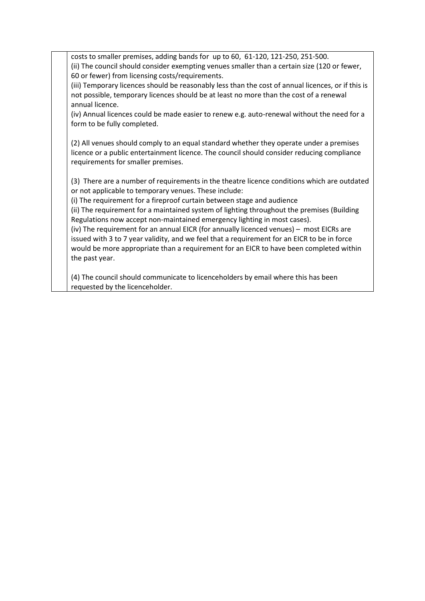costs to smaller premises, adding bands for up to 60, 61-120, 121-250, 251-500. (ii) The council should consider exempting venues smaller than a certain size (120 or fewer, 60 or fewer) from licensing costs/requirements.

(iii) Temporary licences should be reasonably less than the cost of annual licences, or if this is not possible, temporary licences should be at least no more than the cost of a renewal annual licence.

(iv) Annual licences could be made easier to renew e.g. auto-renewal without the need for a form to be fully completed.

(2) All venues should comply to an equal standard whether they operate under a premises licence or a public entertainment licence. The council should consider reducing compliance requirements for smaller premises.

(3) There are a number of requirements in the theatre licence conditions which are outdated or not applicable to temporary venues. These include:

(i) The requirement for a fireproof curtain between stage and audience

(ii) The requirement for a maintained system of lighting throughout the premises (Building Regulations now accept non-maintained emergency lighting in most cases).

(iv) The requirement for an annual EICR (for annually licenced venues) – most EICRs are issued with 3 to 7 year validity, and we feel that a requirement for an EICR to be in force would be more appropriate than a requirement for an EICR to have been completed within the past year.

(4) The council should communicate to licenceholders by email where this has been requested by the licenceholder.